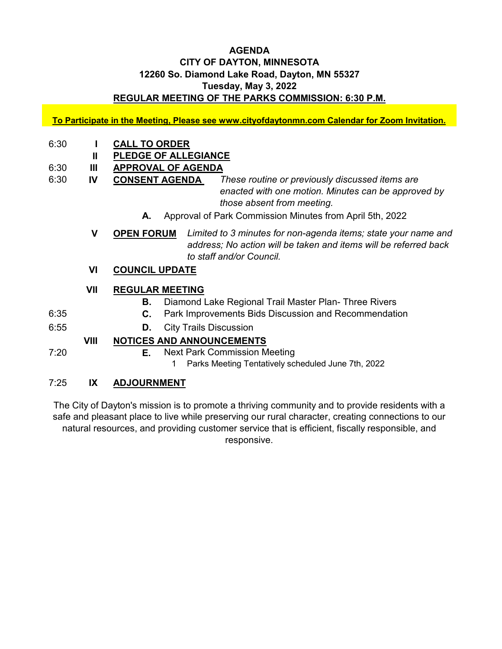### **AGENDA CITY OF DAYTON, MINNESOTA 12260 So. Diamond Lake Road, Dayton, MN 55327 Tuesday, May 3, 2022 REGULAR MEETING OF THE PARKS COMMISSION: 6:30 P.M.**

**To Participate in the Meeting, Please see www.cityofdaytonmn.com Calendar for Zoom Invitation.**

- 6:30 **I CALL TO ORDER**
	- **II PLEDGE OF ALLEGIANCE**
- 6:30 **III APPROVAL OF AGENDA**
- 6:30 **IV CONSENT AGENDA**  *These routine or previously discussed items are enacted with one motion. Minutes can be approved by those absent from meeting.*
	- **A.** Approval of Park Commission Minutes from April 5th, 2022

**V OPEN FORUM** *Limited to 3 minutes for non-agenda items; state your name and address; No action will be taken and items will be referred back to staff and/or Council.*

**VI COUNCIL UPDATE**

### **VII REGULAR MEETING**

- **B.** Diamond Lake Regional Trail Master Plan- Three Rivers
- 6:35 **C.** Park Improvements Bids Discussion and Recommendation
- 6:55 **D.** City Trails Discussion

## **VIII NOTICES AND ANNOUNCEMENTS**

- 7:20 **E.** Next Park Commission Meeting
	- 1 Parks Meeting Tentatively scheduled June 7th, 2022

### 7:25 **IX ADJOURNMENT**

The City of Dayton's mission is to promote a thriving community and to provide residents with a safe and pleasant place to live while preserving our rural character, creating connections to our natural resources, and providing customer service that is efficient, fiscally responsible, and responsive.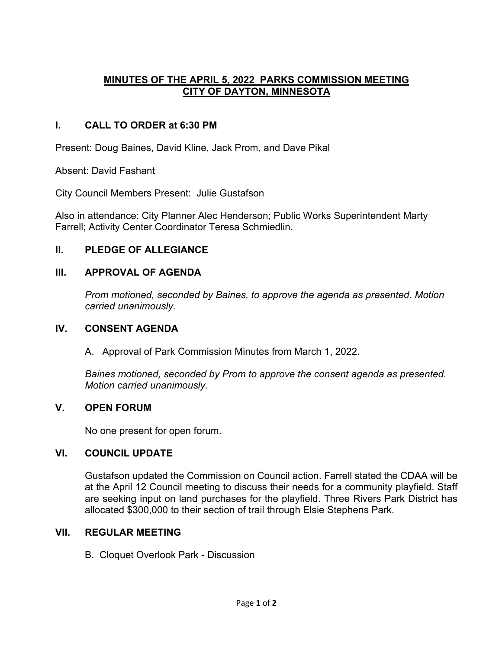## **MINUTES OF THE APRIL 5, 2022 PARKS COMMISSION MEETING CITY OF DAYTON, MINNESOTA**

# **I. CALL TO ORDER at 6:30 PM**

Present: Doug Baines, David Kline, Jack Prom, and Dave Pikal

Absent: David Fashant

City Council Members Present: Julie Gustafson

Also in attendance: City Planner Alec Henderson; Public Works Superintendent Marty Farrell; Activity Center Coordinator Teresa Schmiedlin.

## **II. PLEDGE OF ALLEGIANCE**

## **III. APPROVAL OF AGENDA**

*Prom motioned, seconded by Baines, to approve the agenda as presented. Motion carried unanimously.*

### **IV. CONSENT AGENDA**

A. Approval of Park Commission Minutes from March 1, 2022.

*Baines motioned, seconded by Prom to approve the consent agenda as presented. Motion carried unanimously.*

## **V. OPEN FORUM**

No one present for open forum.

## **VI. COUNCIL UPDATE**

Gustafson updated the Commission on Council action. Farrell stated the CDAA will be at the April 12 Council meeting to discuss their needs for a community playfield. Staff are seeking input on land purchases for the playfield. Three Rivers Park District has allocated \$300,000 to their section of trail through Elsie Stephens Park.

### **VII. REGULAR MEETING**

B. Cloquet Overlook Park - Discussion